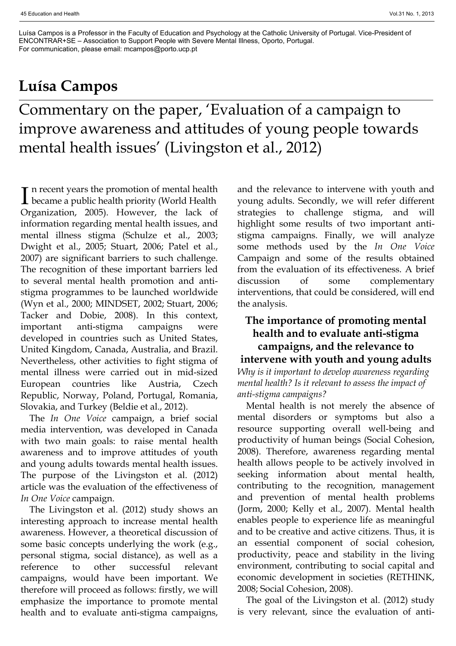Luísa Campos is a Professor in the Faculty of Education and Psychology at the Catholic University of Portugal. Vice-President of ENCONTRAR+SE – Association to Support People with Severe Mental Illness, Oporto, Portugal. For communication, please email: mcampos@porto.ucp.pt

# **Luísa Campos**

Commentary on the paper, 'Evaluation of a campaign to improve awareness and attitudes of young people towards mental health issues' (Livingston et al., 2012)

In recent years the promotion of mental health<br>became a public health priority (World Health  $\mathbf T$  n recent years the promotion of mental health Organization, 2005). However, the lack of information regarding mental health issues, and mental illness stigma (Schulze et al., 2003; Dwight et al., 2005; Stuart, 2006; Patel et al., 2007) are significant barriers to such challenge. The recognition of these important barriers led to several mental health promotion and antistigma programmes to be launched worldwide (Wyn et al., 2000; MINDSET, 2002; Stuart, 2006; Tacker and Dobie, 2008). In this context, important anti-stigma campaigns were developed in countries such as United States, United Kingdom, Canada, Australia, and Brazil. Nevertheless, other activities to fight stigma of mental illness were carried out in mid-sized European countries like Austria, Czech Republic, Norway, Poland, Portugal, Romania, Slovakia, and Turkey (Beldie et al., 2012).

The *In One Voice* campaign, a brief social media intervention, was developed in Canada with two main goals: to raise mental health awareness and to improve attitudes of youth and young adults towards mental health issues. The purpose of the Livingston et al. (2012) article was the evaluation of the effectiveness of *In One Voice* campaign.

The Livingston et al. (2012) study shows an interesting approach to increase mental health awareness. However, a theoretical discussion of some basic concepts underlying the work (e.g., personal stigma, social distance), as well as a reference to other successful relevant campaigns, would have been important. We therefore will proceed as follows: firstly, we will emphasize the importance to promote mental health and to evaluate anti-stigma campaigns, and the relevance to intervene with youth and young adults. Secondly, we will refer different strategies to challenge stigma, and will highlight some results of two important antistigma campaigns. Finally, we will analyze some methods used by the *In One Voice* Campaign and some of the results obtained from the evaluation of its effectiveness. A brief discussion of some complementary interventions, that could be considered, will end the analysis.

# **The importance of promoting mental health and to evaluate anti-stigma campaigns, and the relevance to intervene with youth and young adults** *Why is it important to develop awareness regarding*

*mental health? Is it relevant to assess the impact of anti-stigma campaigns?*

Mental health is not merely the absence of mental disorders or symptoms but also a resource supporting overall well-being and productivity of human beings (Social Cohesion, 2008). Therefore, awareness regarding mental health allows people to be actively involved in seeking information about mental health, contributing to the recognition, management and prevention of mental health problems (Jorm, 2000; Kelly et al., 2007). Mental health enables people to experience life as meaningful and to be creative and active citizens. Thus, it is an essential component of social cohesion, productivity, peace and stability in the living environment, contributing to social capital and economic development in societies (RETHINK, 2008; Social Cohesion, 2008).

The goal of the Livingston et al. (2012) study is very relevant, since the evaluation of anti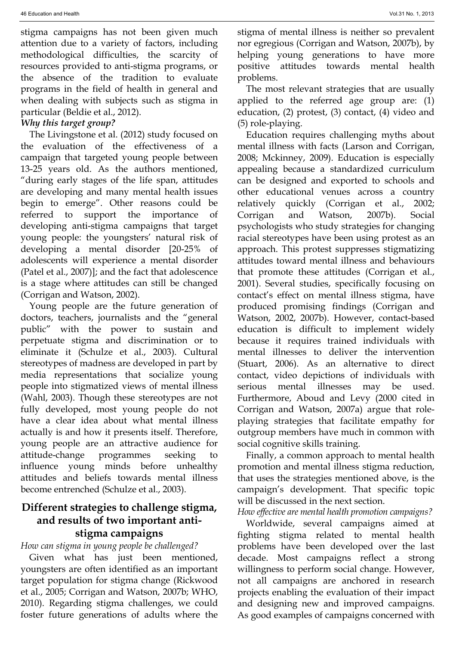stigma campaigns has not been given much attention due to a variety of factors, including methodological difficulties, the scarcity of resources provided to anti-stigma programs, or the absence of the tradition to evaluate programs in the field of health in general and when dealing with subjects such as stigma in particular (Beldie et al., 2012).

### *Why this target group?*

The Livingstone et al. (2012) study focused on the evaluation of the effectiveness of a campaign that targeted young people between 13-25 years old. As the authors mentioned, "during early stages of the life span, attitudes are developing and many mental health issues begin to emerge". Other reasons could be referred to support the importance of developing anti-stigma campaigns that target young people: the youngsters' natural risk of developing a mental disorder [20-25% of adolescents will experience a mental disorder (Patel et al., 2007)]; and the fact that adolescence is a stage where attitudes can still be changed (Corrigan and Watson, 2002).

Young people are the future generation of doctors, teachers, journalists and the "general public" with the power to sustain and perpetuate stigma and discrimination or to eliminate it (Schulze et al., 2003). Cultural stereotypes of madness are developed in part by media representations that socialize young people into stigmatized views of mental illness (Wahl, 2003). Though these stereotypes are not fully developed, most young people do not have a clear idea about what mental illness actually is and how it presents itself. Therefore, young people are an attractive audience for attitude-change programmes seeking to influence young minds before unhealthy attitudes and beliefs towards mental illness become entrenched (Schulze et al., 2003).

## **Different strategies to challenge stigma, and results of two important antistigma campaigns**

#### *How can stigma in young people be challenged?*

Given what has just been mentioned, youngsters are often identified as an important target population for stigma change (Rickwood et al., 2005; Corrigan and Watson, 2007b; WHO, 2010). Regarding stigma challenges, we could foster future generations of adults where the

stigma of mental illness is neither so prevalent nor egregious (Corrigan and Watson, 2007b), by helping young generations to have more positive attitudes towards mental health problems.

The most relevant strategies that are usually applied to the referred age group are: (1) education, (2) protest, (3) contact, (4) video and (5) role-playing.

Education requires challenging myths about mental illness with facts (Larson and Corrigan, 2008; Mckinney, 2009). Education is especially appealing because a standardized curriculum can be designed and exported to schools and other educational venues across a country relatively quickly (Corrigan et al., 2002; Corrigan and Watson, 2007b). Social psychologists who study strategies for changing racial stereotypes have been using protest as an approach. This protest suppresses stigmatizing attitudes toward mental illness and behaviours that promote these attitudes (Corrigan et al., 2001). Several studies, specifically focusing on contact's effect on mental illness stigma, have produced promising findings (Corrigan and Watson, 2002, 2007b). However, contact-based education is difficult to implement widely because it requires trained individuals with mental illnesses to deliver the intervention (Stuart, 2006). As an alternative to direct contact, video depictions of individuals with serious mental illnesses may be used. Furthermore, Aboud and Levy (2000 cited in Corrigan and Watson, 2007a) argue that roleplaying strategies that facilitate empathy for outgroup members have much in common with social cognitive skills training.

Finally, a common approach to mental health promotion and mental illness stigma reduction, that uses the strategies mentioned above, is the campaign's development. That specific topic will be discussed in the next section.

### *How effective are mental health promotion campaigns?*

Worldwide, several campaigns aimed at fighting stigma related to mental health problems have been developed over the last decade. Most campaigns reflect a strong willingness to perform social change. However, not all campaigns are anchored in research projects enabling the evaluation of their impact and designing new and improved campaigns. As good examples of campaigns concerned with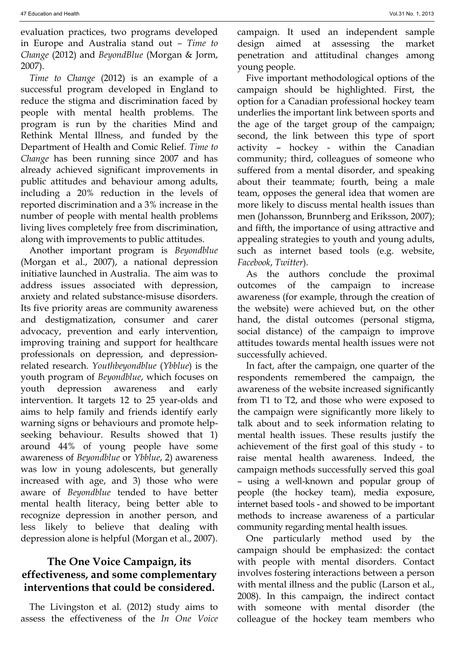evaluation practices, two programs developed in Europe and Australia stand out *– Time to Change* (2012) and *BeyondBlue* (Morgan & Jorm, 2007).

*Time to Change* (2012) is an example of a successful program developed in England to reduce the stigma and discrimination faced by people with mental health problems. The program is run by the charities Mind and Rethink Mental Illness, and funded by the Department of Health and Comic Relief*. Time to Change* has been running since 2007 and has already achieved significant improvements in public attitudes and behaviour among adults, including a 20% reduction in the levels of reported discrimination and a 3% increase in the number of people with mental health problems living lives completely free from discrimination, along with improvements to public attitudes.

Another important program is *Beyondblue* (Morgan et al., 2007), a national depression initiative launched in Australia. The aim was to address issues associated with depression, anxiety and related substance-misuse disorders. Its five priority areas are community awareness and destigmatization, consumer and carer advocacy, prevention and early intervention, improving training and support for healthcare professionals on depression, and depressionrelated research. *Youthbeyondblue* (*Ybblue*) is the youth program of *Beyondblue*, which focuses on youth depression awareness and early intervention. It targets 12 to 25 year-olds and aims to help family and friends identify early warning signs or behaviours and promote helpseeking behaviour. Results showed that 1) around 44% of young people have some awareness of *Beyondblue* or *Ybblue*, 2) awareness was low in young adolescents, but generally increased with age, and 3) those who were aware of *Beyondblue* tended to have better mental health literacy, being better able to recognize depression in another person, and less likely to believe that dealing with depression alone is helpful (Morgan et al., 2007).

## **The One Voice Campaign, its effectiveness, and some complementary interventions that could be considered.**

The Livingston et al. (2012) study aims to assess the effectiveness of the *In One Voice* campaign. It used an independent sample design aimed at assessing the market penetration and attitudinal changes among young people.

Five important methodological options of the campaign should be highlighted. First, the option for a Canadian professional hockey team underlies the important link between sports and the age of the target group of the campaign; second, the link between this type of sport activity – hockey - within the Canadian community; third, colleagues of someone who suffered from a mental disorder, and speaking about their teammate; fourth, being a male team, opposes the general idea that women are more likely to discuss mental health issues than men (Johansson, Brunnberg and Eriksson, 2007); and fifth, the importance of using attractive and appealing strategies to youth and young adults, such as internet based tools (e.g. website, *Facebook*, *Twitter*).

As the authors conclude the proximal outcomes of the campaign to increase awareness (for example, through the creation of the website) were achieved but, on the other hand, the distal outcomes (personal stigma, social distance) of the campaign to improve attitudes towards mental health issues were not successfully achieved.

In fact, after the campaign, one quarter of the respondents remembered the campaign, the awareness of the website increased significantly from T1 to T2, and those who were exposed to the campaign were significantly more likely to talk about and to seek information relating to mental health issues. These results justify the achievement of the first goal of this study - to raise mental health awareness. Indeed, the campaign methods successfully served this goal – using a well-known and popular group of people (the hockey team), media exposure, internet based tools - and showed to be important methods to increase awareness of a particular community regarding mental health issues.

One particularly method used by the campaign should be emphasized: the contact with people with mental disorders. Contact involves fostering interactions between a person with mental illness and the public (Larson et al., 2008). In this campaign, the indirect contact with someone with mental disorder (the colleague of the hockey team members who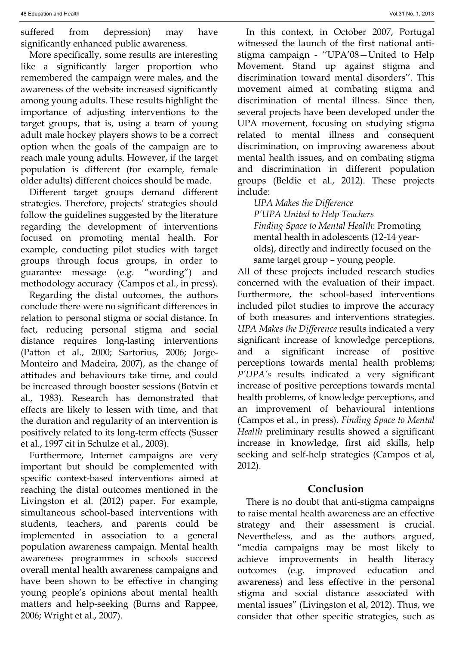suffered from depression) may have significantly enhanced public awareness.

More specifically, some results are interesting like a significantly larger proportion who remembered the campaign were males, and the awareness of the website increased significantly among young adults. These results highlight the importance of adjusting interventions to the target groups, that is, using a team of young adult male hockey players shows to be a correct option when the goals of the campaign are to reach male young adults. However, if the target population is different (for example, female older adults) different choices should be made.

Different target groups demand different strategies. Therefore, projects' strategies should follow the guidelines suggested by the literature regarding the development of interventions focused on promoting mental health. For example, conducting pilot studies with target groups through focus groups, in order to guarantee message (e.g. "wording") and methodology accuracy (Campos et al., in press).

Regarding the distal outcomes, the authors conclude there were no significant differences in relation to personal stigma or social distance. In fact, reducing personal stigma and social distance requires long-lasting interventions (Patton et al., 2000; Sartorius, 2006; Jorge-Monteiro and Madeira, 2007), as the change of attitudes and behaviours take time, and could be increased through booster sessions (Botvin et al., 1983). Research has demonstrated that effects are likely to lessen with time, and that the duration and regularity of an intervention is positively related to its long-term effects (Susser et al., 1997 cit in Schulze et al., 2003).

Furthermore, Internet campaigns are very important but should be complemented with specific context-based interventions aimed at reaching the distal outcomes mentioned in the Livingston et al. (2012) paper. For example, simultaneous school-based interventions with students, teachers, and parents could be implemented in association to a general population awareness campaign. Mental health awareness programmes in schools succeed overall mental health awareness campaigns and have been shown to be effective in changing young people's opinions about mental health matters and help-seeking (Burns and Rappee, 2006; Wright et al., 2007).

In this context, in October 2007, Portugal witnessed the launch of the first national antistigma campaign - ''UPA'08—United to Help Movement. Stand up against stigma and discrimination toward mental disorders''. This movement aimed at combating stigma and discrimination of mental illness. Since then, several projects have been developed under the UPA movement, focusing on studying stigma related to mental illness and consequent discrimination, on improving awareness about mental health issues, and on combating stigma and discrimination in different population groups (Beldie et al., 2012). These projects include:

*UPA Makes the Difference P'UPA United to Help Teachers Finding Space to Mental Health*: Promoting mental health in adolescents (12-14 yearolds), directly and indirectly focused on the same target group – young people.

All of these projects included research studies concerned with the evaluation of their impact. Furthermore, the school-based interventions included pilot studies to improve the accuracy of both measures and interventions strategies. *UPA Makes the Difference* results indicated a very significant increase of knowledge perceptions, and a significant increase of positive perceptions towards mental health problems; *P'UPA's* results indicated a very significant increase of positive perceptions towards mental health problems, of knowledge perceptions, and an improvement of behavioural intentions (Campos et al., in press). *Finding Space to Mental Health* preliminary results showed a significant increase in knowledge, first aid skills, help seeking and self-help strategies (Campos et al, 2012).

#### **Conclusion**

There is no doubt that anti-stigma campaigns to raise mental health awareness are an effective strategy and their assessment is crucial. Nevertheless, and as the authors argued, "media campaigns may be most likely to achieve improvements in health literacy outcomes (e.g. improved education and awareness) and less effective in the personal stigma and social distance associated with mental issues" (Livingston et al, 2012). Thus, we consider that other specific strategies, such as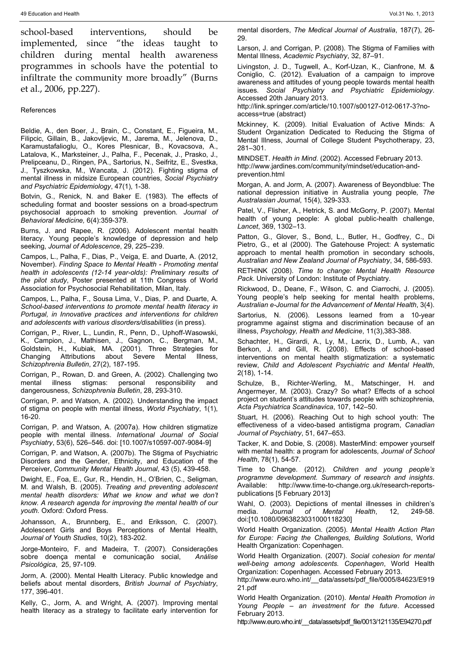school-based interventions, should be implemented, since "the ideas taught to children during mental health awareness programmes in schools have the potential to infiltrate the community more broadly" (Burns et al., 2006, pp.227).

#### References

Beldie, A., den Boer, J., Brain, C., Constant, E., Figueira, M., Filipcic, Gillain, B., Jakovljevic, M., Jarema, M., Jelenova, D., Karamustafalioglu, O., Kores Plesnicar, B., Kovacsova, A., Latalova, K., Marksteiner, J., Palha, F., Pecenak, J., Prasko, J., Prelipceanu, D., Ringen, PA., Sartorius, N., Seifritz, E., Svestka, J., Tyszkowska, M., Wancata, J. (2012). Fighting stigma of mental illness in midsize European countries, *Social Psychiatry and Psychiatric Epidemiology*, 47(1), 1-38.

Botvin, G., Renick, N. and Baker E. (1983). The effects of scheduling format and booster sessions on a broad-spectrum psychosocial approach to smoking prevention*. Journal of Behavioral Medicine,* 6(4):359-379.

Burns, J. and Rapee, R. (2006). Adolescent mental health literacy. Young people's knowledge of depression and help seeking, *Journal of Adolescence*, 29, 225–239.

Campos, L., Palha, F., Dias, P., Veiga, E. and Duarte, A. (2012, November). *Finding Space to Mental Health - Promoting mental health in adolescents (12-14 year-olds): Preliminary results of the pilot study*, Poster presented at 11th Congress of World Association for Psychosocial Rehabilitation, Milan, Italy.

Campos, L., Palha, F., Sousa Lima, V., Dias, P. and Duarte, A. *School-based interventions to promote mental health literacy in Portugal, in Innovative practices and interventions for children and adolescents with various disorders/disabilities* (in press).

Corrigan, P., River, L., Lundin, R., Penn, D., Uphoff-Wasowski, K., Campion, J., Mathisen, J., Gagnon, C., Bergman, M., Goldstein, H., Kubiak, MA. (2001). Three Strategies for Changing Attributions about Severe Mental Illness, *Schizophrenia Bulletin*, 27(2), 187-195.

Corrigan, P., Rowan, D. and Green, A. (2002). Challenging two mental illness stigmas: personal responsibility and dangerousness, *Schizophrenia Bulletin*, 28, 293-310.

Corrigan, P. and Watson, A. (2002). Understanding the impact of stigma on people with mental illness, *World Psychiatry*, 1(1), 16-20.

Corrigan, P. and Watson, A. (2007a). How children stigmatize people with mental illness. *International Journal of Social Psychiatry*, 53(6), 526–546. doi: [10.1007/s10597-007-9084-9]

Corrigan, P. and Watson, A. (2007b). The Stigma of Psychiatric Disorders and the Gender, Ethnicity, and Education of the Perceiver, *Community Mental Health Journal*, 43 (5), 439-458.

Dwight, E., Foa, E., Gur, R., Hendin, H., O'Brien, C., Seligman, M. and Walsh, B. (2005). *Treating and preventing adolescent mental health disorders: What we know and what we don't know. A research agenda for improving the mental health of our youth.* Oxford: Oxford Press.

Johansson, A., Brunnberg, E., and Eriksson, C. (2007). Adolescent Girls and Boys Perceptions of Mental Health, *Journal of Youth Studies*, 10(2), 183-202.

Jorge-Monteiro, F. and Madeira, T. (2007). Considerações sobre doença mental e comunicação social, *Análise Psicológica*, 25, 97-109.

Jorm, A. (2000). Mental Health Literacy. Public knowledge and beliefs about mental disorders, *British Journal of Psychiatry*, 177, 396-401.

Kelly, C., Jorm, A. and Wright, A. (2007). Improving mental health literacy as a strategy to facilitate early intervention for mental disorders, *The Medical Journal of Australia*, 187(7), 26- 29.

Larson, J. and Corrigan, P. (2008). The Stigma of Families with Mental Illness, *Academic Psychiatry*, 32, 87–91.

Livingston, J. D., Tugwell, A., Korf-Uzan, K., Cianfrone, M. & Coniglio, C. (2012). Evaluation of a campaign to improve awareness and attitudes of young people towards mental health issues. *Social Psychiatry and Psychiatric Epidemiology*. Accessed 20th January 2013.

http://link.springer.com/article/10.1007/s00127-012-0617-3?noaccess=true (abstract)

Mckinney, K. (2009). Initial Evaluation of Active Minds: A Student Organization Dedicated to Reducing the Stigma of Mental Illness, Journal of College Student Psychotherapy, 23, 281–301.

MINDSET. *Health in Mind*. (2002). Accessed February 2013. http://www.jardines.com/community/mindset/education-andprevention.html

Morgan, A. and Jorm, A. (2007). Awareness of Beyondblue: The national depression initiative in Australia young people*, The Australasian Journal*, 15(4), 329-333.

Patel, V., Flisher, A., Hetrick, S. and McGorry, P. (2007). Mental health of young people: A global public-health challenge, *Lancet*, 369, 1302–13.

Patton, G., Glover, S., Bond, L., Butler, H., Godfrey, C., Di Pietro, G., et al (2000). The Gatehouse Project: A systematic approach to mental health promotion in secondary schools, *Australian and New Zealand Journal of Psychiatry*, 34, 586-593.

RETHINK (2008). *Time to change: Mental Health Resource Pack*. University of London: Institute of Psychiatry.

Rickwood, D., Deane, F., Wilson, C. and Ciarrochi, J. (2005). Young people's help seeking for mental health problems, *Australian e-Journal for the Advancement of Mental Health*, 3(4).

Sartorius, N. (2006). Lessons learned from a 10-year programme against stigma and discrimination because of an illness, *Psychology, Health and Medicine*, 11(3),383-388.

Schachter, H., Girardi, A., Ly, M., Lacrix, D., Lumb, A., van Berkon, J. and Gill, R. (2008). Effects of school-based interventions on mental health stigmatization: a systematic review, *Child and Adolescent Psychiatric and Mental Health*, 2(18), 1-14.

Schulze, B., Richter-Werling, M., Matschinger, H. and Angermeyer, M. (2003). Crazy? So what? Effects of a school project on student's attitudes towards people with schizophrenia, *Acta Psychiatrica Scandinavica*, 107, 142–50.

Stuart, H. (2006). Reaching Out to high school youth: The effectiveness of a video-based antistigma program, *Canadian Journal of Psychiatry*, 51, 647–653.

Tacker, K. and Dobie, S. (2008). MasterMind: empower yourself with mental health: a program for adolescents*, Journal of School Health*, 78(1), 54-57.

Time to Change. (2012). *Children and young people's programme development. Summary of research and insights*. Available: http://www.time-to-change.org.uk/research-reportspublications [5 February 2013]

Wahl, O. (2003). Depictions of mental illnesses in children's media. Journal of Mental Health, 12, 249-58. media. *Journal of Mental Health*, 12, 249-58. doi:[10.1080/0963823031000118230]

World Health Organization. (2005). *Mental Health Action Plan for Europe: Facing the Challenges, Building Solutions*, World Health Organization: Copenhagen.

World Health Organization. (2007). *Social cohesion for mental well-being among adolescents. Copenhagen*, World Health Organization: Copenhagen. Accessed February 2013.

http://www.euro.who.int/ data/assets/pdf\_file/0005/84623/E919 21.pdf

World Health Organization. (2010). *Mental Health Promotion in Young People – an investment for the future*. Accessed February 2013.

http://www.euro.who.int/ data/assets/pdf\_file/0013/121135/E94270.pdf